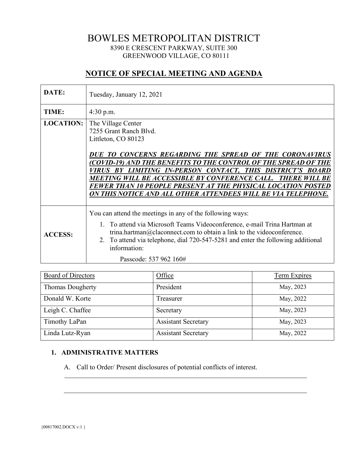# BOWLES METROPOLITAN DISTRICT 8390 E CRESCENT PARKWAY, SUITE 300 GREENWOOD VILLAGE, CO 80111

# **NOTICE OF SPECIAL MEETING AND AGENDA**

| DATE:            | Tuesday, January 12, 2021                                                                                                                                                                                                                                                                                                                                                                                                                                        |
|------------------|------------------------------------------------------------------------------------------------------------------------------------------------------------------------------------------------------------------------------------------------------------------------------------------------------------------------------------------------------------------------------------------------------------------------------------------------------------------|
| TIME:            | $4:30$ p.m.                                                                                                                                                                                                                                                                                                                                                                                                                                                      |
| <b>LOCATION:</b> | The Village Center<br>7255 Grant Ranch Blvd.<br>Littleton, CO 80123<br>DUE TO CONCERNS REGARDING THE SPREAD OF THE CORONAVIRUS<br>(COVID-19) AND THE BENEFITS TO THE CONTROL OF THE SPREAD OF THE<br>VIRUS BY LIMITING IN-PERSON CONTACT, THIS DISTRICT'S BOARD<br>MEETING WILL BE ACCESSIBLE BY CONFERENCE CALL. THERE WILL BE<br>FEWER THAN 10 PEOPLE PRESENT AT THE PHYSICAL LOCATION POSTED<br>ON THIS NOTICE AND ALL OTHER ATTENDEES WILL BE VIA TELEPHONE. |
| <b>ACCESS:</b>   | You can attend the meetings in any of the following ways:<br>1. To attend via Microsoft Teams Videoconference, e-mail Trina Hartman at<br>trina.hartman@claconnect.com to obtain a link to the videoconference.<br>2. To attend via telephone, dial 720-547-5281 and enter the following additional<br>information:<br>Passcode: 537 962 160#                                                                                                                    |

| Board of Directors      | Office                     | <b>Term Expires</b> |
|-------------------------|----------------------------|---------------------|
| <b>Thomas Dougherty</b> | President                  | May, 2023           |
| Donald W. Korte         | Treasurer                  | May, 2022           |
| Leigh C. Chaffee        | Secretary                  | May, 2023           |
| Timothy LaPan           | <b>Assistant Secretary</b> | May, 2023           |
| Linda Lutz-Ryan         | <b>Assistant Secretary</b> | May, 2022           |

### **1. ADMINISTRATIVE MATTERS**

A. Call to Order/ Present disclosures of potential conflicts of interest.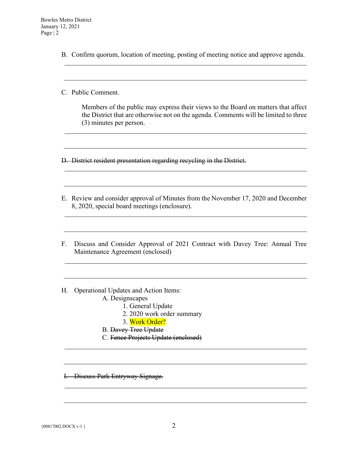B. Confirm quorum, location of meeting, posting of meeting notice and approve agenda.

C. Public Comment.

Members of the public may express their views to the Board on matters that affect the District that are otherwise not on the agenda. Comments will be limited to three (3) minutes per person.

the control of the control of the control of the control of the control of the control of the control of the control of the control of the control of the control of the control of the control of the control of the control

D. District resident presentation regarding recycling in the District.

- E. Review and consider approval of Minutes from the November 17, 2020 and December 8, 2020, special board meetings (enclosure).
- F. Discuss and Consider Approval of 2021 Contract with Davey Tree: Annual Tree Maintenance Agreement (enclosed)
- H. Operational Updates and Action Items:
	- A. Designscapes
		- 1. General Update
		- 2. 2020 work order summary
		- 3. Work Order?
	- B. Davey Tree Update
	- C. Fence Projects Update (enclosed)

I. Discuss Park Entryway Signage.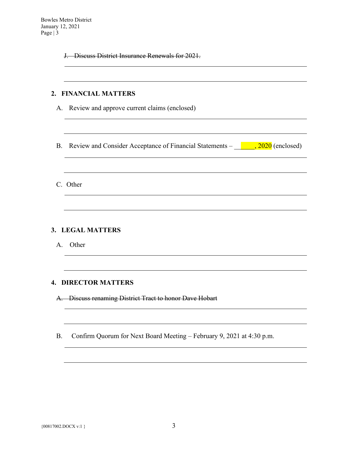J. Discuss District Insurance Renewals for 2021.

## **2. FINANCIAL MATTERS**

- A. Review and approve current claims (enclosed)
- B. Review and Consider Acceptance of Financial Statements  $\frac{1}{\sqrt{2020}}$  (enclosed)

<u> 1989 - Johann Stoff, deutscher Stoffen und der Stoffen und der Stoffen und der Stoffen und der Stoffen und der</u>

C. Other

### **3. LEGAL MATTERS**

A. Other

### **4. DIRECTOR MATTERS**

A. Discuss renaming District Tract to honor Dave Hobart

B. Confirm Quorum for Next Board Meeting – February 9, 2021 at 4:30 p.m.